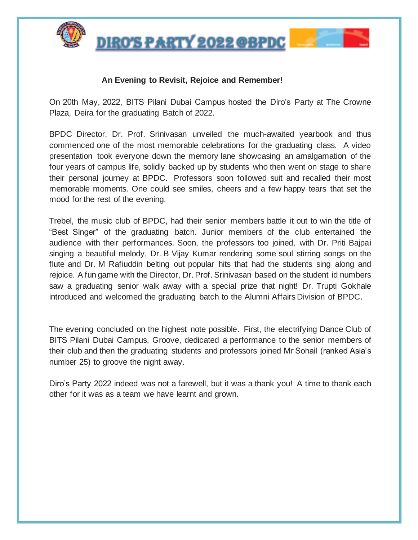

<u>DIRO'S PARTY 2022 @BPDC</u>

## **An Evening to Revisit, Rejoice and Remember!**

On 20th May, 2022, BITS Pilani Dubai Campus hosted the Diro's Party at The Crowne Plaza, Deira for the graduating Batch of 2022.

BPDC Director, Dr. Prof. Srinivasan unveiled the much-awaited yearbook and thus commenced one of the most memorable celebrations for the graduating class. A video presentation took everyone down the memory lane showcasing an amalgamation of the four years of campus life, solidly backed up by students who then went on stage to share their personal journey at BPDC. Professors soon followed suit and recalled their most memorable moments. One could see smiles, cheers and a few happy tears that set the mood for the rest of the evening.

Trebel, the music club of BPDC, had their senior members battle it out to win the title of "Best Singer" of the graduating batch. Junior members of the club entertained the audience with their performances. Soon, the professors too joined, with Dr. Priti Bajpai singing a beautiful melody, Dr. B Vijay Kumar rendering some soul stirring songs on the flute and Dr. M Rafiuddin belting out popular hits that had the students sing along and rejoice. A fun game with the Director, Dr. Prof. Srinivasan based on the student id numbers saw a graduating senior walk away with a special prize that night! Dr. Trupti Gokhale introduced and welcomed the graduating batch to the Alumni Affairs Division of BPDC.

The evening concluded on the highest note possible. First, the electrifying Dance Club of BITS Pilani Dubai Campus, Groove, dedicated a performance to the senior members of their club and then the graduating students and professors joined Mr Sohail (ranked Asia's number 25) to groove the night away.

Diro's Party 2022 indeed was not a farewell, but it was a thank you! A time to thank each other for it was as a team we have learnt and grown.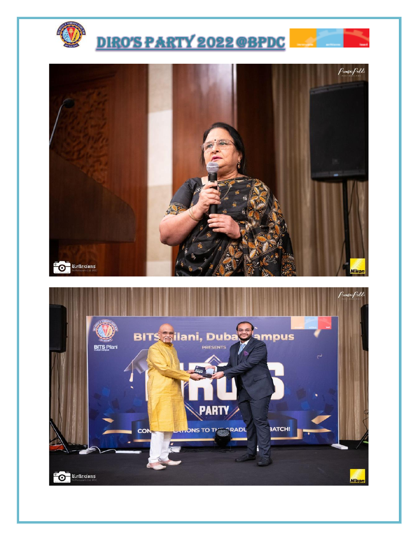



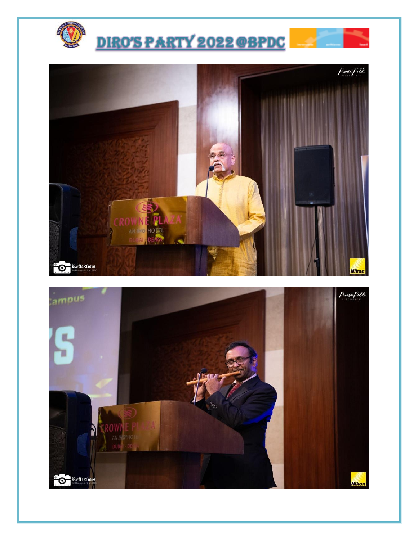



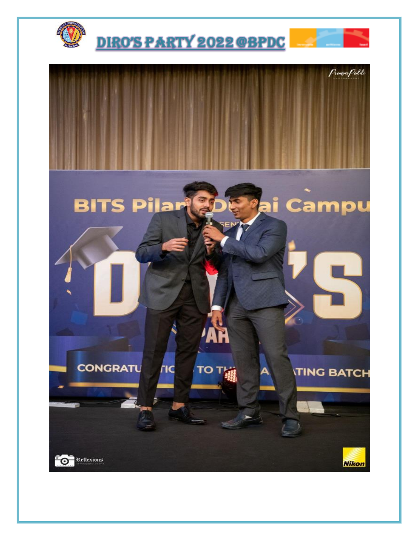

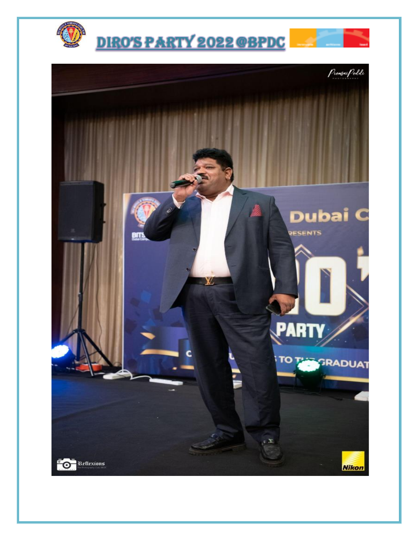